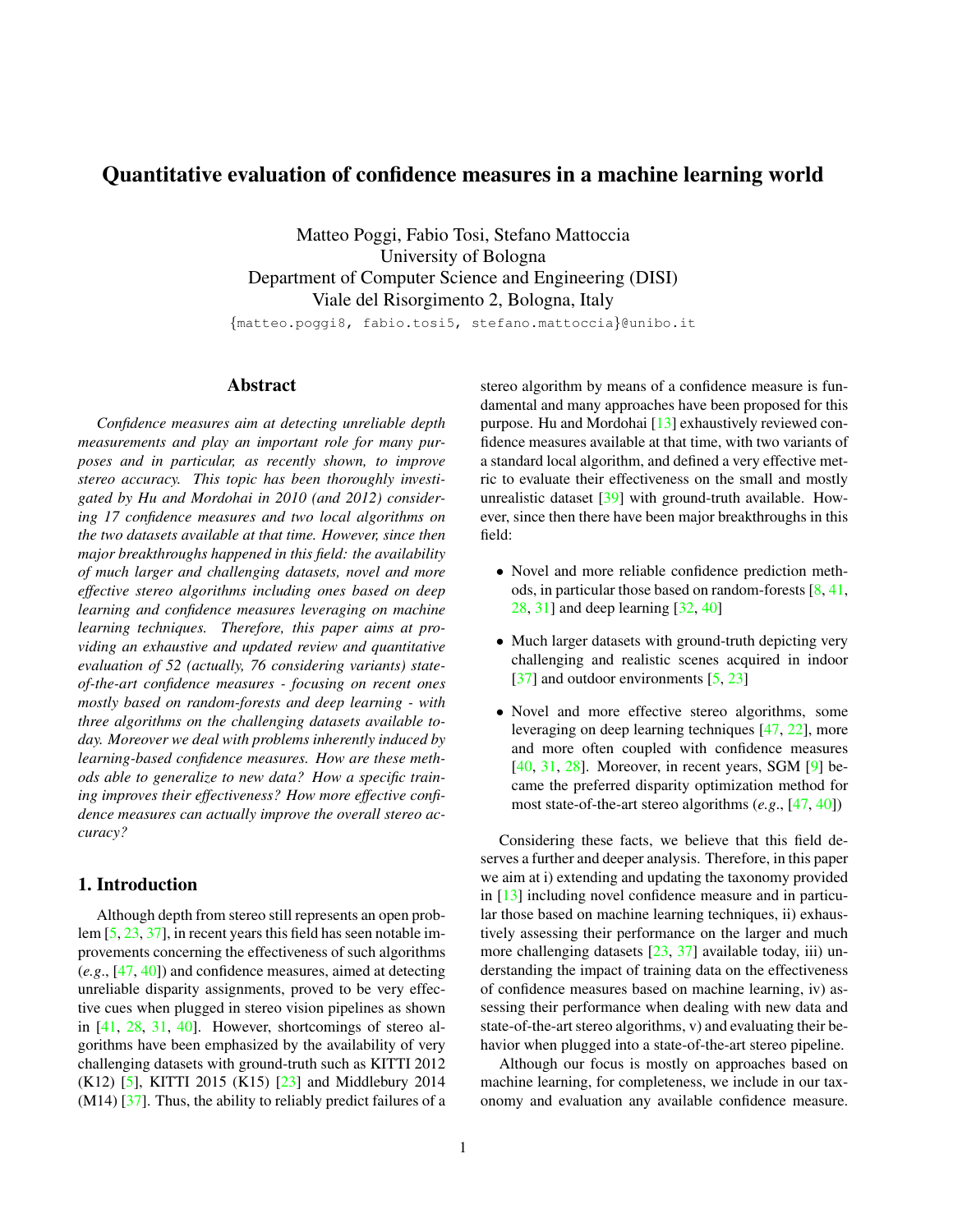# <span id="page-0-0"></span>Quantitative evaluation of confidence measures in a machine learning world

Matteo Poggi, Fabio Tosi, Stefano Mattoccia University of Bologna Department of Computer Science and Engineering (DISI) Viale del Risorgimento 2, Bologna, Italy

{matteo.poggi8, fabio.tosi5, stefano.mattoccia}@unibo.it

# Abstract

*Confidence measures aim at detecting unreliable depth measurements and play an important role for many purposes and in particular, as recently shown, to improve stereo accuracy. This topic has been thoroughly investigated by Hu and Mordohai in 2010 (and 2012) considering 17 confidence measures and two local algorithms on the two datasets available at that time. However, since then major breakthroughs happened in this field: the availability of much larger and challenging datasets, novel and more effective stereo algorithms including ones based on deep learning and confidence measures leveraging on machine learning techniques. Therefore, this paper aims at providing an exhaustive and updated review and quantitative evaluation of 52 (actually, 76 considering variants) stateof-the-art confidence measures - focusing on recent ones mostly based on random-forests and deep learning - with three algorithms on the challenging datasets available today. Moreover we deal with problems inherently induced by learning-based confidence measures. How are these methods able to generalize to new data? How a specific training improves their effectiveness? How more effective confidence measures can actually improve the overall stereo accuracy?*

# 1. Introduction

Although depth from stereo still represents an open problem [\[5,](#page-8-0) [23,](#page-8-1) [37\]](#page-9-0), in recent years this field has seen notable improvements concerning the effectiveness of such algorithms (*e.g*., [\[47,](#page-9-1) [40\]](#page-9-2)) and confidence measures, aimed at detecting unreliable disparity assignments, proved to be very effective cues when plugged in stereo vision pipelines as shown in [\[41,](#page-9-3) [28,](#page-8-2) [31,](#page-8-3) [40\]](#page-9-2). However, shortcomings of stereo algorithms have been emphasized by the availability of very challenging datasets with ground-truth such as KITTI 2012 (K12) [\[5\]](#page-8-0), KITTI 2015 (K15) [\[23\]](#page-8-1) and Middlebury 2014  $(M14)$  [\[37\]](#page-9-0). Thus, the ability to reliably predict failures of a stereo algorithm by means of a confidence measure is fundamental and many approaches have been proposed for this purpose. Hu and Mordohai [\[13\]](#page-8-4) exhaustively reviewed confidence measures available at that time, with two variants of a standard local algorithm, and defined a very effective metric to evaluate their effectiveness on the small and mostly unrealistic dataset [\[39\]](#page-9-4) with ground-truth available. However, since then there have been major breakthroughs in this field:

- Novel and more reliable confidence prediction methods, in particular those based on random-forests [\[8,](#page-8-5) [41,](#page-9-3) [28,](#page-8-2) [31\]](#page-8-3) and deep learning [\[32,](#page-9-5) [40\]](#page-9-2)
- Much larger datasets with ground-truth depicting very challenging and realistic scenes acquired in indoor [\[37\]](#page-9-0) and outdoor environments [\[5,](#page-8-0) [23\]](#page-8-1)
- Novel and more effective stereo algorithms, some leveraging on deep learning techniques [\[47,](#page-9-1) [22\]](#page-8-6), more and more often coupled with confidence measures [\[40,](#page-9-2) [31,](#page-8-3) [28\]](#page-8-2). Moreover, in recent years, SGM [\[9\]](#page-8-7) became the preferred disparity optimization method for most state-of-the-art stereo algorithms (*e.g*., [\[47,](#page-9-1) [40\]](#page-9-2))

Considering these facts, we believe that this field deserves a further and deeper analysis. Therefore, in this paper we aim at i) extending and updating the taxonomy provided in [\[13\]](#page-8-4) including novel confidence measure and in particular those based on machine learning techniques, ii) exhaustively assessing their performance on the larger and much more challenging datasets [\[23,](#page-8-1) [37\]](#page-9-0) available today, iii) understanding the impact of training data on the effectiveness of confidence measures based on machine learning, iv) assessing their performance when dealing with new data and state-of-the-art stereo algorithms, v) and evaluating their behavior when plugged into a state-of-the-art stereo pipeline.

Although our focus is mostly on approaches based on machine learning, for completeness, we include in our taxonomy and evaluation any available confidence measure.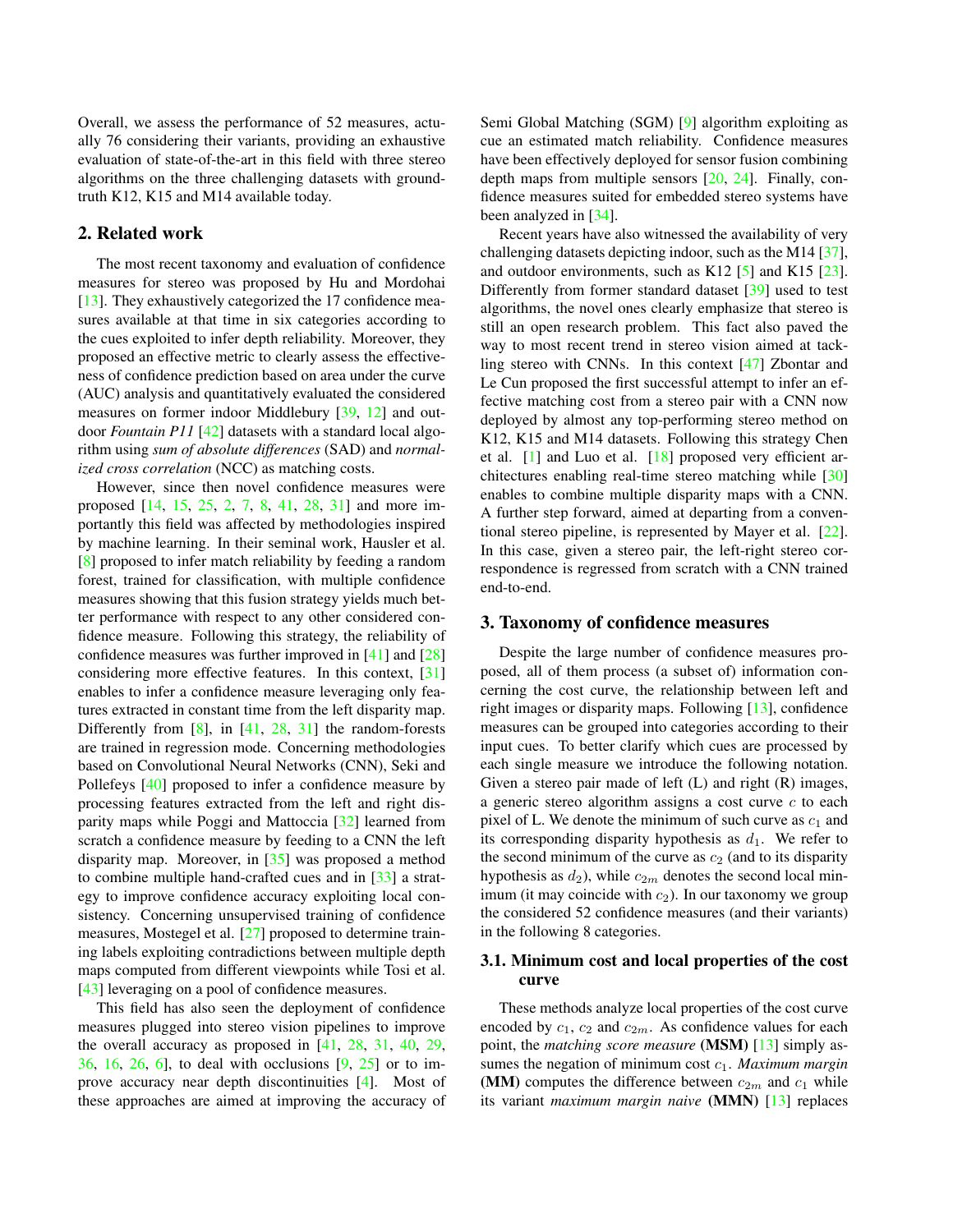<span id="page-1-2"></span>Overall, we assess the performance of 52 measures, actually 76 considering their variants, providing an exhaustive evaluation of state-of-the-art in this field with three stereo algorithms on the three challenging datasets with groundtruth K12, K15 and M14 available today.

## 2. Related work

The most recent taxonomy and evaluation of confidence measures for stereo was proposed by Hu and Mordohai [\[13\]](#page-8-4). They exhaustively categorized the 17 confidence measures available at that time in six categories according to the cues exploited to infer depth reliability. Moreover, they proposed an effective metric to clearly assess the effectiveness of confidence prediction based on area under the curve (AUC) analysis and quantitatively evaluated the considered measures on former indoor Middlebury [\[39,](#page-9-4) [12\]](#page-8-8) and outdoor *Fountain P11* [\[42\]](#page-9-6) datasets with a standard local algorithm using *sum of absolute differences* (SAD) and *normalized cross correlation* (NCC) as matching costs.

However, since then novel confidence measures were proposed [\[14,](#page-8-9) [15,](#page-8-10) [25,](#page-8-11) [2,](#page-8-12) [7,](#page-8-13) [8,](#page-8-5) [41,](#page-9-3) [28,](#page-8-2) [31\]](#page-8-3) and more importantly this field was affected by methodologies inspired by machine learning. In their seminal work, Hausler et al. [\[8\]](#page-8-5) proposed to infer match reliability by feeding a random forest, trained for classification, with multiple confidence measures showing that this fusion strategy yields much better performance with respect to any other considered confidence measure. Following this strategy, the reliability of confidence measures was further improved in [\[41\]](#page-9-3) and [\[28\]](#page-8-2) considering more effective features. In this context, [\[31\]](#page-8-3) enables to infer a confidence measure leveraging only features extracted in constant time from the left disparity map. Differently from  $[8]$ , in  $[41, 28, 31]$  $[41, 28, 31]$  $[41, 28, 31]$  $[41, 28, 31]$  $[41, 28, 31]$  the random-forests are trained in regression mode. Concerning methodologies based on Convolutional Neural Networks (CNN), Seki and Pollefeys [\[40\]](#page-9-2) proposed to infer a confidence measure by processing features extracted from the left and right disparity maps while Poggi and Mattoccia [\[32\]](#page-9-5) learned from scratch a confidence measure by feeding to a CNN the left disparity map. Moreover, in [\[35\]](#page-9-7) was proposed a method to combine multiple hand-crafted cues and in [\[33\]](#page-9-8) a strategy to improve confidence accuracy exploiting local consistency. Concerning unsupervised training of confidence measures, Mostegel et al. [\[27\]](#page-8-14) proposed to determine training labels exploiting contradictions between multiple depth maps computed from different viewpoints while Tosi et al. [\[43\]](#page-9-9) leveraging on a pool of confidence measures.

This field has also seen the deployment of confidence measures plugged into stereo vision pipelines to improve the overall accuracy as proposed in [\[41,](#page-9-3) [28,](#page-8-2) [31,](#page-8-3) [40,](#page-9-2) [29,](#page-8-15) [36,](#page-9-10) [16,](#page-8-16) [26,](#page-8-17) [6\]](#page-8-18), to deal with occlusions [\[9,](#page-8-7) [25\]](#page-8-11) or to improve accuracy near depth discontinuities [\[4\]](#page-8-19). Most of these approaches are aimed at improving the accuracy of Semi Global Matching (SGM) [\[9\]](#page-8-7) algorithm exploiting as cue an estimated match reliability. Confidence measures have been effectively deployed for sensor fusion combining depth maps from multiple sensors [\[20,](#page-8-20) [24\]](#page-8-21). Finally, confidence measures suited for embedded stereo systems have been analyzed in [\[34\]](#page-9-11).

Recent years have also witnessed the availability of very challenging datasets depicting indoor, such as the M14 [\[37\]](#page-9-0), and outdoor environments, such as K12  $[5]$  and K15  $[23]$ . Differently from former standard dataset [\[39\]](#page-9-4) used to test algorithms, the novel ones clearly emphasize that stereo is still an open research problem. This fact also paved the way to most recent trend in stereo vision aimed at tackling stereo with CNNs. In this context [\[47\]](#page-9-1) Zbontar and Le Cun proposed the first successful attempt to infer an effective matching cost from a stereo pair with a CNN now deployed by almost any top-performing stereo method on K<sub>12</sub>, K<sub>15</sub> and M<sub>14</sub> datasets. Following this strategy Chen et al. [\[1\]](#page-8-22) and Luo et al. [\[18\]](#page-8-23) proposed very efficient architectures enabling real-time stereo matching while [\[30\]](#page-8-24) enables to combine multiple disparity maps with a CNN. A further step forward, aimed at departing from a conventional stereo pipeline, is represented by Mayer et al. [\[22\]](#page-8-6). In this case, given a stereo pair, the left-right stereo correspondence is regressed from scratch with a CNN trained end-to-end.

## <span id="page-1-1"></span>3. Taxonomy of confidence measures

Despite the large number of confidence measures proposed, all of them process (a subset of) information concerning the cost curve, the relationship between left and right images or disparity maps. Following [\[13\]](#page-8-4), confidence measures can be grouped into categories according to their input cues. To better clarify which cues are processed by each single measure we introduce the following notation. Given a stereo pair made of left  $(L)$  and right  $(R)$  images, a generic stereo algorithm assigns a cost curve  $c$  to each pixel of L. We denote the minimum of such curve as  $c_1$  and its corresponding disparity hypothesis as  $d_1$ . We refer to the second minimum of the curve as  $c_2$  (and to its disparity hypothesis as  $d_2$ ), while  $c_{2m}$  denotes the second local minimum (it may coincide with  $c_2$ ). In our taxonomy we group the considered 52 confidence measures (and their variants) in the following 8 categories.

## <span id="page-1-0"></span>3.1. Minimum cost and local properties of the cost curve

These methods analyze local properties of the cost curve encoded by  $c_1$ ,  $c_2$  and  $c_{2m}$ . As confidence values for each point, the *matching score measure* (MSM) [\[13\]](#page-8-4) simply assumes the negation of minimum cost c1. *Maximum margin* (MM) computes the difference between  $c_{2m}$  and  $c_1$  while its variant *maximum margin naive* (MMN) [\[13\]](#page-8-4) replaces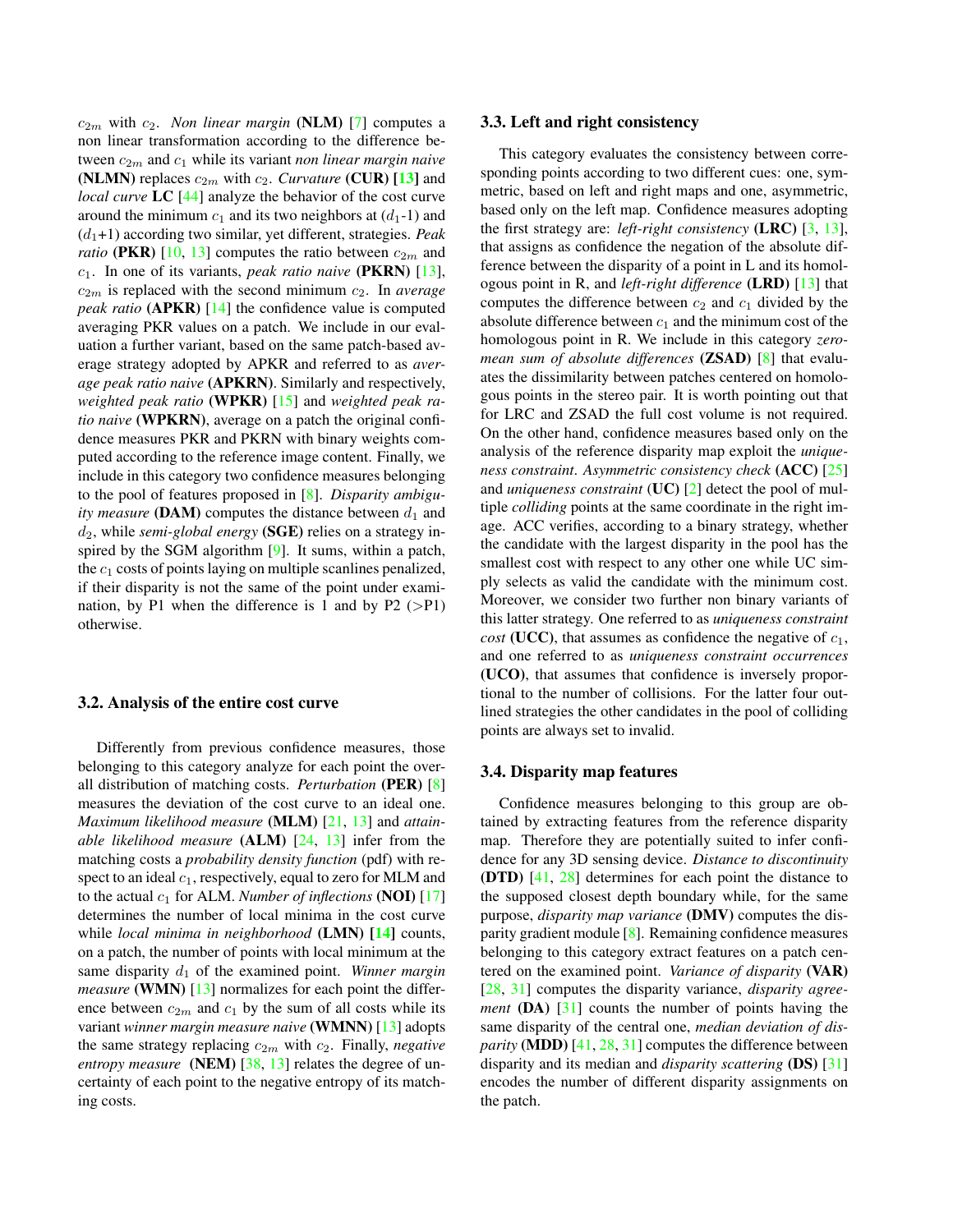<span id="page-2-3"></span> $c_{2m}$  with  $c_2$ . *Non linear margin* (**NLM**) [\[7\]](#page-8-13) computes a non linear transformation according to the difference between  $c_{2m}$  and  $c_1$  while its variant *non linear margin naive* (NLMN) replaces  $c_{2m}$  with  $c_2$ . *Curvature* (CUR) [\[13\]](#page-8-4) and *local curve* LC [\[44\]](#page-9-12) analyze the behavior of the cost curve around the minimum  $c_1$  and its two neighbors at  $(d_1-1)$  and  $(d_1+1)$  according two similar, yet different, strategies. *Peak ratio* (PKR) [\[10,](#page-8-25) [13\]](#page-8-4) computes the ratio between  $c_{2m}$  and c1. In one of its variants, *peak ratio naive* (PKRN) [\[13\]](#page-8-4),  $c_{2m}$  is replaced with the second minimum  $c_2$ . In *average peak ratio* (APKR) [\[14\]](#page-8-9) the confidence value is computed averaging PKR values on a patch. We include in our evaluation a further variant, based on the same patch-based average strategy adopted by APKR and referred to as *average peak ratio naive* (APKRN). Similarly and respectively, *weighted peak ratio* (WPKR) [\[15\]](#page-8-10) and *weighted peak ratio naive* (WPKRN), average on a patch the original confidence measures PKR and PKRN with binary weights computed according to the reference image content. Finally, we include in this category two confidence measures belonging to the pool of features proposed in [\[8\]](#page-8-5). *Disparity ambiguity measure* (DAM) computes the distance between  $d_1$  and d2, while *semi-global energy* (SGE) relies on a strategy inspired by the SGM algorithm [\[9\]](#page-8-7). It sums, within a patch, the  $c_1$  costs of points laying on multiple scanlines penalized, if their disparity is not the same of the point under examination, by P1 when the difference is 1 and by P2  $(>P1)$ otherwise.

#### <span id="page-2-0"></span>3.2. Analysis of the entire cost curve

Differently from previous confidence measures, those belonging to this category analyze for each point the overall distribution of matching costs. *Perturbation* (PER) [\[8\]](#page-8-5) measures the deviation of the cost curve to an ideal one. *Maximum likelihood measure* (MLM) [\[21,](#page-8-26) [13\]](#page-8-4) and *attainable likelihood measure* (ALM) [\[24,](#page-8-21) [13\]](#page-8-4) infer from the matching costs a *probability density function* (pdf) with respect to an ideal  $c_1$ , respectively, equal to zero for MLM and to the actual  $c_1$  for ALM. *Number of inflections* (**NOI**) [\[17\]](#page-8-27) determines the number of local minima in the cost curve while *local minima in neighborhood* (LMN) [\[14\]](#page-8-9) counts, on a patch, the number of points with local minimum at the same disparity  $d_1$  of the examined point. *Winner margin measure* (WMN) [\[13\]](#page-8-4) normalizes for each point the difference between  $c_{2m}$  and  $c_1$  by the sum of all costs while its variant *winner margin measure naive* (WMNN) [\[13\]](#page-8-4) adopts the same strategy replacing  $c_{2m}$  with  $c_2$ . Finally, *negative entropy measure* (NEM) [\[38,](#page-9-13) [13\]](#page-8-4) relates the degree of uncertainty of each point to the negative entropy of its matching costs.

#### <span id="page-2-1"></span>3.3. Left and right consistency

This category evaluates the consistency between corresponding points according to two different cues: one, symmetric, based on left and right maps and one, asymmetric, based only on the left map. Confidence measures adopting the first strategy are: *left-right consistency* (LRC) [\[3,](#page-8-28) [13\]](#page-8-4), that assigns as confidence the negation of the absolute difference between the disparity of a point in L and its homologous point in R, and *left-right difference* (LRD) [\[13\]](#page-8-4) that computes the difference between  $c_2$  and  $c_1$  divided by the absolute difference between  $c_1$  and the minimum cost of the homologous point in R. We include in this category *zeromean sum of absolute differences* (ZSAD) [\[8\]](#page-8-5) that evaluates the dissimilarity between patches centered on homologous points in the stereo pair. It is worth pointing out that for LRC and ZSAD the full cost volume is not required. On the other hand, confidence measures based only on the analysis of the reference disparity map exploit the *uniqueness constraint*. *Asymmetric consistency check* (ACC) [\[25\]](#page-8-11) and *uniqueness constraint* (UC) [\[2\]](#page-8-12) detect the pool of multiple *colliding* points at the same coordinate in the right image. ACC verifies, according to a binary strategy, whether the candidate with the largest disparity in the pool has the smallest cost with respect to any other one while UC simply selects as valid the candidate with the minimum cost. Moreover, we consider two further non binary variants of this latter strategy. One referred to as *uniqueness constraint cost* (UCC), that assumes as confidence the negative of  $c_1$ , and one referred to as *uniqueness constraint occurrences* (UCO), that assumes that confidence is inversely proportional to the number of collisions. For the latter four outlined strategies the other candidates in the pool of colliding points are always set to invalid.

#### <span id="page-2-2"></span>3.4. Disparity map features

Confidence measures belonging to this group are obtained by extracting features from the reference disparity map. Therefore they are potentially suited to infer confidence for any 3D sensing device. *Distance to discontinuity* (DTD) [\[41,](#page-9-3) [28\]](#page-8-2) determines for each point the distance to the supposed closest depth boundary while, for the same purpose, *disparity map variance* (DMV) computes the disparity gradient module [\[8\]](#page-8-5). Remaining confidence measures belonging to this category extract features on a patch centered on the examined point. *Variance of disparity* (VAR) [\[28,](#page-8-2) [31\]](#page-8-3) computes the disparity variance, *disparity agreement* (DA) [\[31\]](#page-8-3) counts the number of points having the same disparity of the central one, *median deviation of disparity* (MDD) [\[41,](#page-9-3) [28,](#page-8-2) [31\]](#page-8-3) computes the difference between disparity and its median and *disparity scattering* (DS) [\[31\]](#page-8-3) encodes the number of different disparity assignments on the patch.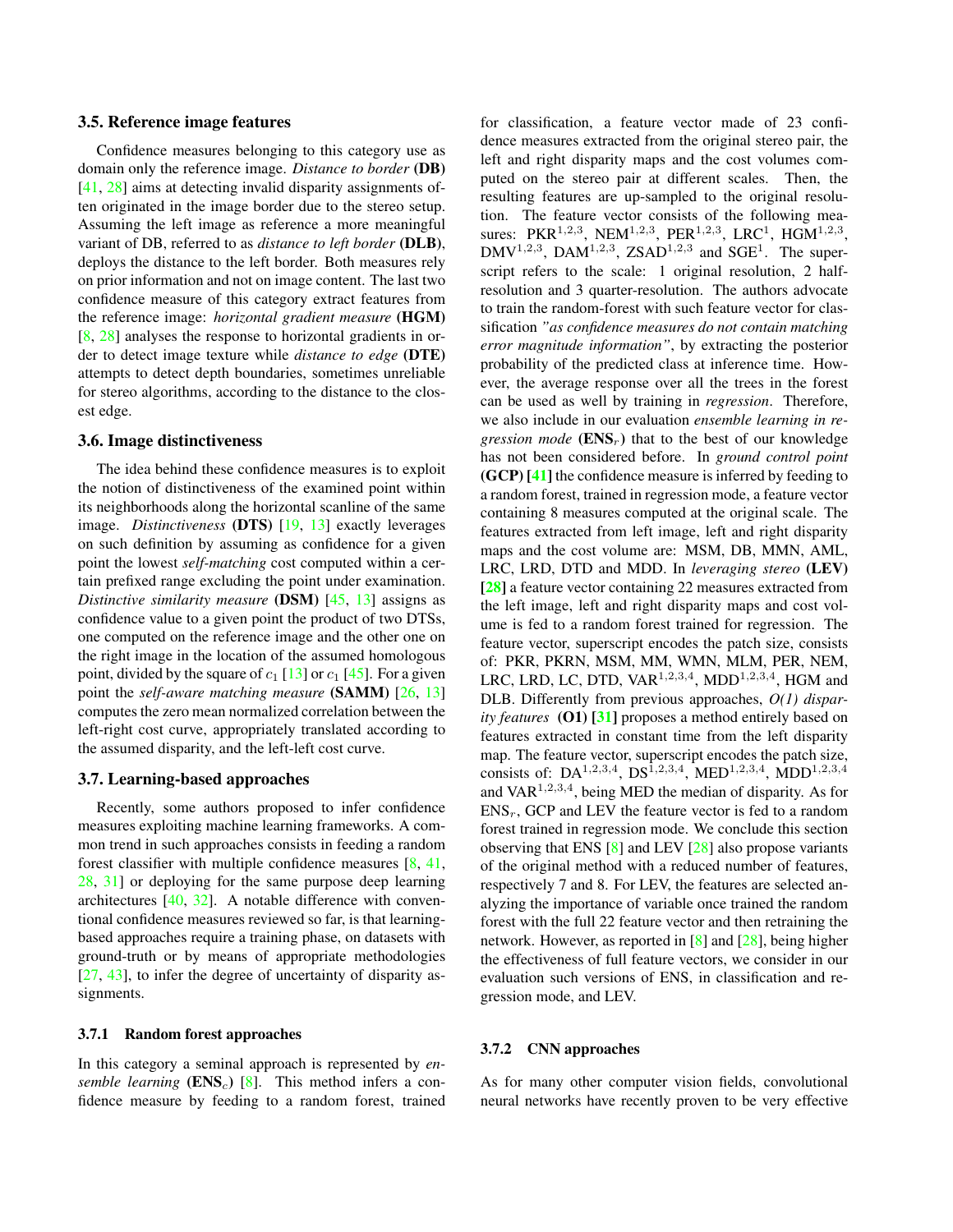#### <span id="page-3-4"></span><span id="page-3-0"></span>3.5. Reference image features

Confidence measures belonging to this category use as domain only the reference image. *Distance to border* (DB) [\[41,](#page-9-3) [28\]](#page-8-2) aims at detecting invalid disparity assignments often originated in the image border due to the stereo setup. Assuming the left image as reference a more meaningful variant of DB, referred to as *distance to left border* (DLB), deploys the distance to the left border. Both measures rely on prior information and not on image content. The last two confidence measure of this category extract features from the reference image: *horizontal gradient measure* (HGM) [\[8,](#page-8-5) [28\]](#page-8-2) analyses the response to horizontal gradients in order to detect image texture while *distance to edge* (DTE) attempts to detect depth boundaries, sometimes unreliable for stereo algorithms, according to the distance to the closest edge.

# <span id="page-3-1"></span>3.6. Image distinctiveness

The idea behind these confidence measures is to exploit the notion of distinctiveness of the examined point within its neighborhoods along the horizontal scanline of the same image. *Distinctiveness* (DTS) [\[19,](#page-8-29) [13\]](#page-8-4) exactly leverages on such definition by assuming as confidence for a given point the lowest *self-matching* cost computed within a certain prefixed range excluding the point under examination. *Distinctive similarity measure* (DSM) [\[45,](#page-9-14) [13\]](#page-8-4) assigns as confidence value to a given point the product of two DTSs, one computed on the reference image and the other one on the right image in the location of the assumed homologous point, divided by the square of  $c_1$  [\[13\]](#page-8-4) or  $c_1$  [\[45\]](#page-9-14). For a given point the *self-aware matching measure* (SAMM) [\[26,](#page-8-17) [13\]](#page-8-4) computes the zero mean normalized correlation between the left-right cost curve, appropriately translated according to the assumed disparity, and the left-left cost curve.

#### 3.7. Learning-based approaches

Recently, some authors proposed to infer confidence measures exploiting machine learning frameworks. A common trend in such approaches consists in feeding a random forest classifier with multiple confidence measures  $[8, 41, 41]$  $[8, 41, 41]$  $[8, 41, 41]$  $[8, 41, 41]$ [28,](#page-8-2) [31\]](#page-8-3) or deploying for the same purpose deep learning architectures [\[40,](#page-9-2) [32\]](#page-9-5). A notable difference with conventional confidence measures reviewed so far, is that learningbased approaches require a training phase, on datasets with ground-truth or by means of appropriate methodologies [\[27,](#page-8-14) [43\]](#page-9-9), to infer the degree of uncertainty of disparity assignments.

#### <span id="page-3-2"></span>3.7.1 Random forest approaches

In this category a seminal approach is represented by *ensemble learning*  $(ENS<sub>c</sub>)$  [\[8\]](#page-8-5). This method infers a confidence measure by feeding to a random forest, trained

for classification, a feature vector made of 23 confidence measures extracted from the original stereo pair, the left and right disparity maps and the cost volumes computed on the stereo pair at different scales. Then, the resulting features are up-sampled to the original resolution. The feature vector consists of the following measures: PKR<sup>1,2,3</sup>, NEM<sup>1,2,3</sup>, PER<sup>1,2,3</sup>, LRC<sup>1</sup>, HGM<sup>1,2,3</sup>,  $DMV^{1,2,3}$ , DAM<sup>1,2,3</sup>, ZSAD<sup>1,2,3</sup> and SGE<sup>1</sup>. The superscript refers to the scale: 1 original resolution, 2 halfresolution and 3 quarter-resolution. The authors advocate to train the random-forest with such feature vector for classification *"as confidence measures do not contain matching error magnitude information"*, by extracting the posterior probability of the predicted class at inference time. However, the average response over all the trees in the forest can be used as well by training in *regression*. Therefore, we also include in our evaluation *ensemble learning in regression mode*  $(ENS_r)$  that to the best of our knowledge has not been considered before. In *ground control point* (GCP) [\[41\]](#page-9-3) the confidence measure is inferred by feeding to a random forest, trained in regression mode, a feature vector containing 8 measures computed at the original scale. The features extracted from left image, left and right disparity maps and the cost volume are: MSM, DB, MMN, AML, LRC, LRD, DTD and MDD. In *leveraging stereo* (LEV) [\[28\]](#page-8-2) a feature vector containing 22 measures extracted from the left image, left and right disparity maps and cost volume is fed to a random forest trained for regression. The feature vector, superscript encodes the patch size, consists of: PKR, PKRN, MSM, MM, WMN, MLM, PER, NEM, LRC, LRD, LC, DTD, VAR<sup>1,2,3,4</sup>, MDD<sup>1,2,3,4</sup>, HGM and DLB. Differently from previous approaches, *O(1) disparity features* (O1) [\[31\]](#page-8-3) proposes a method entirely based on features extracted in constant time from the left disparity map. The feature vector, superscript encodes the patch size, consists of: DA<sup>1,2,3,4</sup>, DS<sup>1,2,3,4</sup>, MED<sup>1,2,3,4</sup>, MDD<sup>1,2,3,4</sup> and  $VAR<sup>1,2,3,4</sup>$ , being MED the median of disparity. As for  $ENS<sub>r</sub>$ , GCP and LEV the feature vector is fed to a random forest trained in regression mode. We conclude this section observing that ENS [\[8\]](#page-8-5) and LEV [\[28\]](#page-8-2) also propose variants of the original method with a reduced number of features, respectively 7 and 8. For LEV, the features are selected analyzing the importance of variable once trained the random forest with the full 22 feature vector and then retraining the network. However, as reported in [\[8\]](#page-8-5) and [\[28\]](#page-8-2), being higher the effectiveness of full feature vectors, we consider in our evaluation such versions of ENS, in classification and regression mode, and LEV.

#### <span id="page-3-3"></span>3.7.2 CNN approaches

As for many other computer vision fields, convolutional neural networks have recently proven to be very effective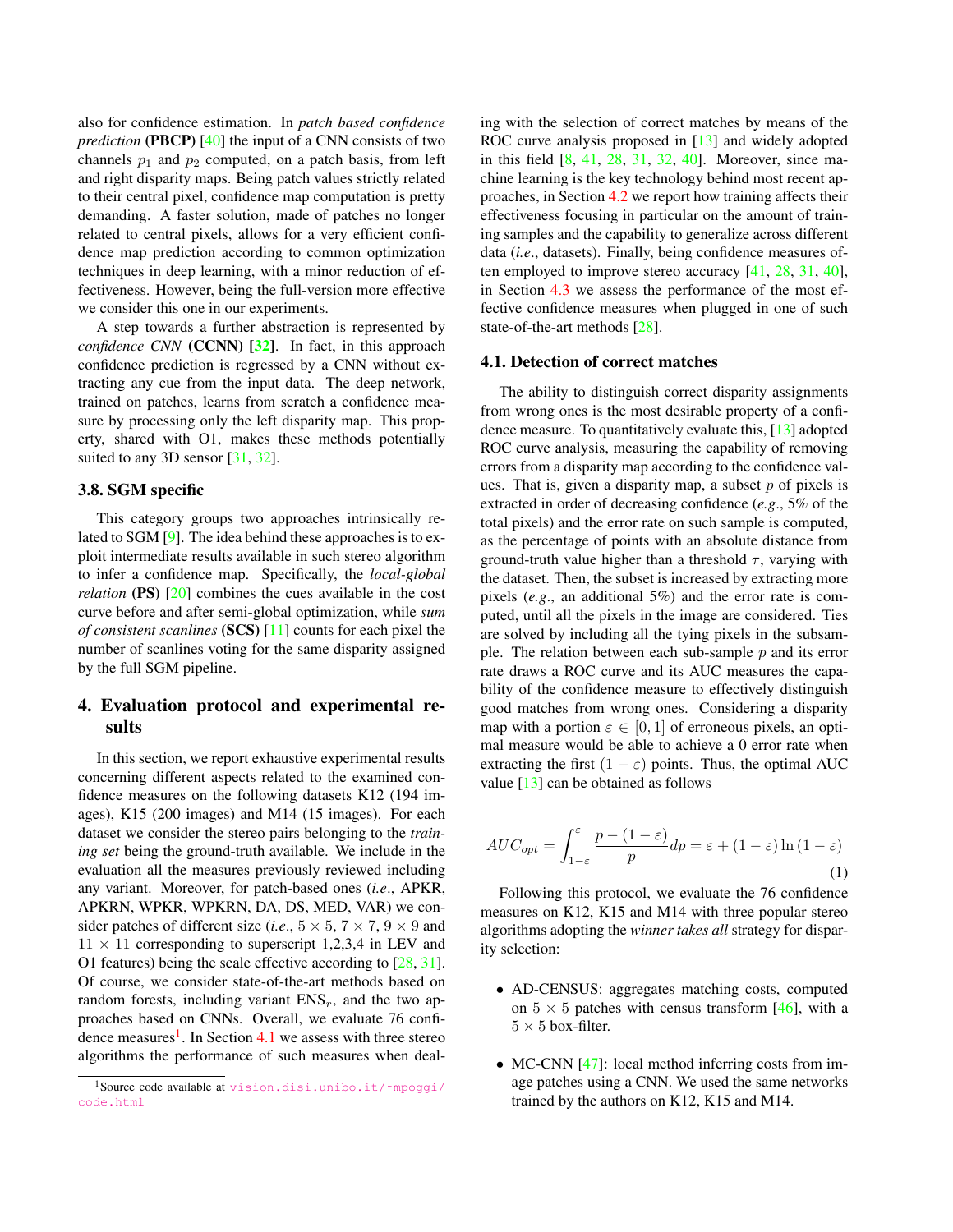<span id="page-4-3"></span>also for confidence estimation. In *patch based confidence prediction* (PBCP) [\[40\]](#page-9-2) the input of a CNN consists of two channels  $p_1$  and  $p_2$  computed, on a patch basis, from left and right disparity maps. Being patch values strictly related to their central pixel, confidence map computation is pretty demanding. A faster solution, made of patches no longer related to central pixels, allows for a very efficient confidence map prediction according to common optimization techniques in deep learning, with a minor reduction of effectiveness. However, being the full-version more effective we consider this one in our experiments.

A step towards a further abstraction is represented by *confidence CNN* (CCNN) [\[32\]](#page-9-5). In fact, in this approach confidence prediction is regressed by a CNN without extracting any cue from the input data. The deep network, trained on patches, learns from scratch a confidence measure by processing only the left disparity map. This property, shared with O1, makes these methods potentially suited to any 3D sensor [\[31,](#page-8-3) [32\]](#page-9-5).

#### <span id="page-4-2"></span>3.8. SGM specific

This category groups two approaches intrinsically related to SGM [\[9\]](#page-8-7). The idea behind these approaches is to exploit intermediate results available in such stereo algorithm to infer a confidence map. Specifically, the *local-global relation* (PS) [\[20\]](#page-8-20) combines the cues available in the cost curve before and after semi-global optimization, while *sum of consistent scanlines* (SCS) [\[11\]](#page-8-30) counts for each pixel the number of scanlines voting for the same disparity assigned by the full SGM pipeline.

# 4. Evaluation protocol and experimental results

In this section, we report exhaustive experimental results concerning different aspects related to the examined confidence measures on the following datasets K12 (194 images), K15 (200 images) and M14 (15 images). For each dataset we consider the stereo pairs belonging to the *training set* being the ground-truth available. We include in the evaluation all the measures previously reviewed including any variant. Moreover, for patch-based ones (*i.e*., APKR, APKRN, WPKR, WPKRN, DA, DS, MED, VAR) we consider patches of different size (*i.e.*,  $5 \times 5$ ,  $7 \times 7$ ,  $9 \times 9$  and  $11 \times 11$  corresponding to superscript 1,2,3,4 in LEV and O1 features) being the scale effective according to [\[28,](#page-8-2) [31\]](#page-8-3). Of course, we consider state-of-the-art methods based on random forests, including variant  $ENS<sub>r</sub>$ , and the two approaches based on CNNs. Overall, we evaluate 76 confi-dence measures<sup>[1](#page-4-0)</sup>. In Section [4.1](#page-4-1) we assess with three stereo algorithms the performance of such measures when dealing with the selection of correct matches by means of the ROC curve analysis proposed in [\[13\]](#page-8-4) and widely adopted in this field [\[8,](#page-8-5) [41,](#page-9-3) [28,](#page-8-2) [31,](#page-8-3) [32,](#page-9-5) [40\]](#page-9-2). Moreover, since machine learning is the key technology behind most recent approaches, in Section [4.2](#page-6-0) we report how training affects their effectiveness focusing in particular on the amount of training samples and the capability to generalize across different data (*i.e*., datasets). Finally, being confidence measures often employed to improve stereo accuracy [\[41,](#page-9-3) [28,](#page-8-2) [31,](#page-8-3) [40\]](#page-9-2), in Section [4.3](#page-7-0) we assess the performance of the most effective confidence measures when plugged in one of such state-of-the-art methods [\[28\]](#page-8-2).

#### <span id="page-4-1"></span>4.1. Detection of correct matches

The ability to distinguish correct disparity assignments from wrong ones is the most desirable property of a confidence measure. To quantitatively evaluate this, [\[13\]](#page-8-4) adopted ROC curve analysis, measuring the capability of removing errors from a disparity map according to the confidence values. That is, given a disparity map, a subset  $p$  of pixels is extracted in order of decreasing confidence (*e.g*., 5% of the total pixels) and the error rate on such sample is computed, as the percentage of points with an absolute distance from ground-truth value higher than a threshold  $\tau$ , varying with the dataset. Then, the subset is increased by extracting more pixels (*e.g*., an additional 5%) and the error rate is computed, until all the pixels in the image are considered. Ties are solved by including all the tying pixels in the subsample. The relation between each sub-sample  $p$  and its error rate draws a ROC curve and its AUC measures the capability of the confidence measure to effectively distinguish good matches from wrong ones. Considering a disparity map with a portion  $\varepsilon \in [0, 1]$  of erroneous pixels, an optimal measure would be able to achieve a 0 error rate when extracting the first  $(1 - \varepsilon)$  points. Thus, the optimal AUC value  $[13]$  can be obtained as follows

$$
AUC_{opt} = \int_{1-\varepsilon}^{\varepsilon} \frac{p - (1-\varepsilon)}{p} dp = \varepsilon + (1-\varepsilon) \ln(1-\varepsilon)
$$
\n(1)

Following this protocol, we evaluate the 76 confidence measures on K12, K15 and M14 with three popular stereo algorithms adopting the *winner takes all* strategy for disparity selection:

- AD-CENSUS: aggregates matching costs, computed on  $5 \times 5$  patches with census transform [\[46\]](#page-9-15), with a  $5 \times 5$  box-filter.
- MC-CNN [\[47\]](#page-9-1): local method inferring costs from image patches using a CNN. We used the same networks trained by the authors on K12, K15 and M14.

<span id="page-4-0"></span><sup>1</sup>Source code available at [vision.disi.unibo.it/˜mpoggi/](vision.disi.unibo.it/~mpoggi/code.html) [code.html](vision.disi.unibo.it/~mpoggi/code.html)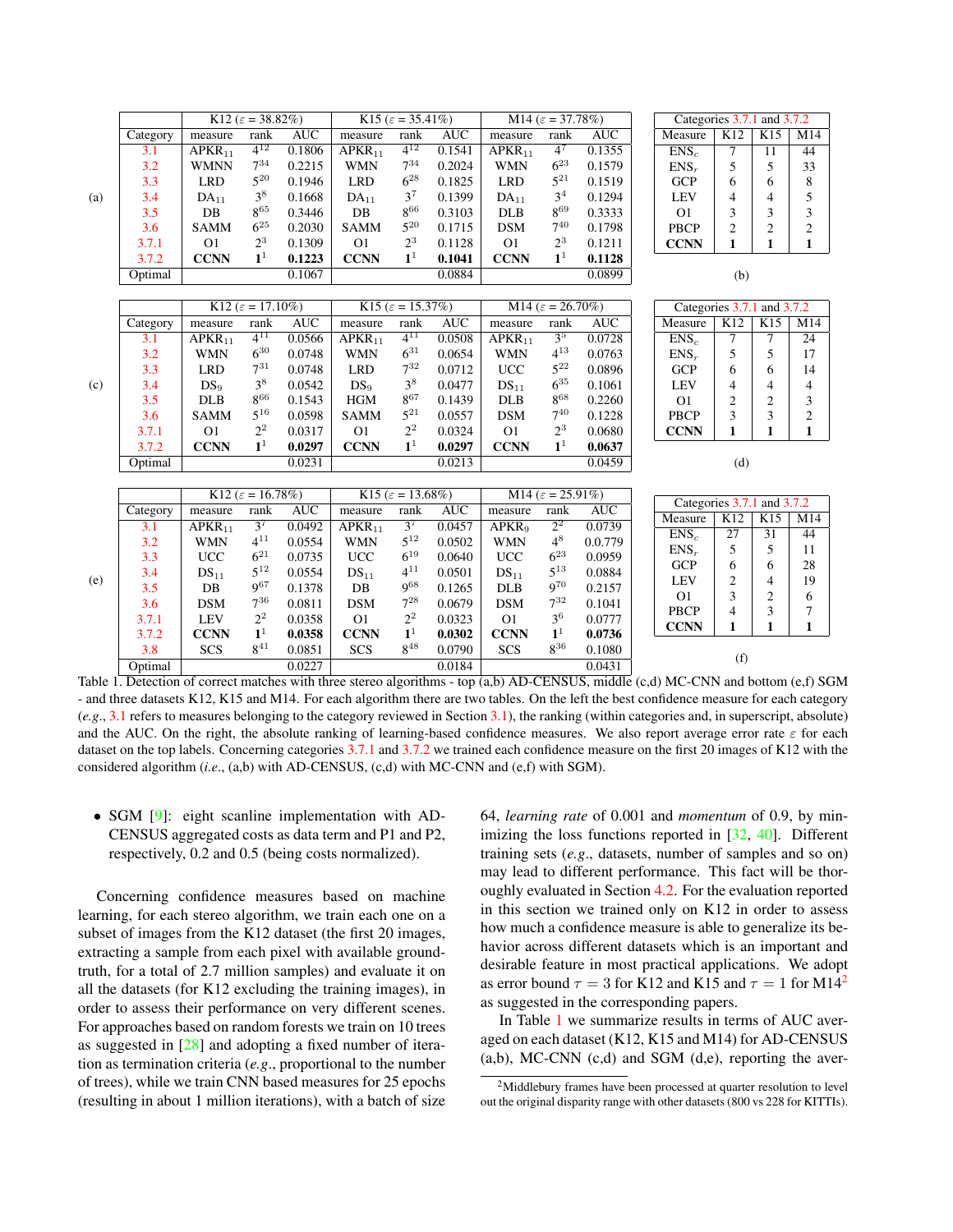<span id="page-5-2"></span>

|     |          | K12 ( $\varepsilon$ = 38.82%)   |                 |            | K15 ( $\varepsilon$ = 35.41%)   |                |            | M14 ( $\varepsilon$ = 37.78%) |                  |            |  |                            | Categories 3.7.1 and 3.7.2 |                |                 |
|-----|----------|---------------------------------|-----------------|------------|---------------------------------|----------------|------------|-------------------------------|------------------|------------|--|----------------------------|----------------------------|----------------|-----------------|
| (a) | Category | measure                         | rank            | AUC        | measure                         | rank           | AUC        | measure                       | rank             | <b>AUC</b> |  | Measure                    | K12                        | K15            | M14             |
|     | 3.1      | APKR <sub>11</sub>              | $4^{12}$        | 0.1806     | APKR <sub>11</sub>              | $4^{12}$       | 0.1541     | APKR <sub>11</sub>            | $\overline{4^7}$ | 0.1355     |  | $ENS_c$                    | $\overline{7}$             | 11             | 44              |
|     | 3.2      | <b>WMNN</b>                     | $7^{34}$        | 0.2215     | <b>WMN</b>                      | $7^{34}$       | 0.2024     | <b>WMN</b>                    | $6^{23}$         | 0.1579     |  | $ENS_r$                    | 5                          | 5              | 33              |
|     | 3.3      | <b>LRD</b>                      | $5^{20}$        | 0.1946     | <b>LRD</b>                      | $6^{28}$       | 0.1825     | <b>LRD</b>                    | $5^{21}$         | 0.1519     |  | <b>GCP</b>                 | 6                          | 6              | 8               |
|     | 3.4      | $DA_{11}$                       | $3^8$           | 0.1668     | DA <sub>11</sub>                | $3^7$          | 0.1399     | $DA_{11}$                     | 3 <sup>4</sup>   | 0.1294     |  | <b>LEV</b>                 | 4                          | 4              | 5               |
|     | 3.5      | $DB$                            | 865             | 0.3446     | DB                              | $8^{66}$       | 0.3103     | <b>DLB</b>                    | 869              | 0.3333     |  | O <sub>1</sub>             | 3                          | 3              | 3               |
|     | 3.6      | SAMM                            | $6^{25}$        | 0.2030     | <b>SAMM</b>                     | $5^{20}$       | 0.1715     | <b>DSM</b>                    | $7^{40}$         | 0.1798     |  | <b>PBCP</b>                | $\overline{c}$             | $\overline{c}$ | $\sqrt{2}$      |
|     | 3.7.1    | O <sub>1</sub>                  | $2^3$           | 0.1309     | O <sub>1</sub>                  | $2^3$          | 0.1128     | O <sub>1</sub>                | $2^3$            | 0.1211     |  | <b>CCNN</b>                | $\mathbf{1}$               | $\mathbf{1}$   | $\mathbf{1}$    |
|     | 3.7.2    | <b>CCNN</b>                     | 1 <sup>1</sup>  | 0.1223     | <b>CCNN</b>                     | $\mathbf{1}^1$ | 0.1041     | <b>CCNN</b>                   | 1 <sup>1</sup>   | 0.1128     |  |                            |                            |                |                 |
|     | Optimal  |                                 |                 | 0.1067     |                                 |                | 0.0884     |                               |                  | 0.0899     |  |                            | (b)                        |                |                 |
|     |          |                                 |                 |            |                                 |                |            |                               |                  |            |  |                            |                            |                |                 |
| (c) |          | K12 ( $\varepsilon = 17.10\%$ ) |                 |            | K15 ( $\varepsilon = 15.37\%$ ) |                |            | M14 ( $\varepsilon$ = 26.70%) |                  |            |  | Categories 3.7.1 and 3.7.2 |                            |                |                 |
|     | Category | measure                         | rank            | AUC        | measure                         | rank           | AUC        | measure                       | rank             | <b>AUC</b> |  | Measure                    | K12                        | K15            | M14             |
|     | 3.1      | $\overline{APKR}_{11}$          | $4^{11}$        | 0.0566     | APKR <sub>11</sub>              | $4^{11}$       | 0.0508     | APKR <sub>11</sub>            | 3 <sup>5</sup>   | 0.0728     |  | $ENS_c$                    | 7                          | $\tau$         | $\overline{24}$ |
|     | 3.2      | <b>WMN</b>                      | $6^{30}$        | 0.0748     | <b>WMN</b>                      | $6^{31}$       | 0.0654     | <b>WMN</b>                    | $4^{13}$         | 0.0763     |  | $ENS_r$                    | 5                          | 5              | 17              |
|     | 3.3      | <b>LRD</b>                      | $7^{31}$        | 0.0748     | <b>LRD</b>                      | $7^{32}$       | 0.0712     | <b>UCC</b>                    | $5^{22}$         | 0.0896     |  | <b>GCP</b>                 | 6                          | 6              | 14              |
|     | 3.4      | DS <sub>9</sub>                 | 3 <sup>8</sup>  | 0.0542     | DS <sub>9</sub>                 | $3^8$          | 0.0477     | $DS_{11}$                     | $6^{35}$         | 0.1061     |  | <b>LEV</b>                 | 4                          | 4              | 4               |
|     | 3.5      | <b>DLB</b>                      | $8^{66}$        | 0.1543     | <b>HGM</b>                      | $8^{67}$       | 0.1439     | <b>DLB</b>                    | $8^{68}\,$       | 0.2260     |  | O <sub>1</sub>             | $\overline{c}$             | $\overline{2}$ | 3               |
|     | 3.6      | <b>SAMM</b>                     | $5^{16}$        | 0.0598     | <b>SAMM</b>                     | $5^{21}$       | 0.0557     | <b>DSM</b>                    | $7^{40}$         | 0.1228     |  | <b>PBCP</b>                | 3                          | 3              | $\overline{c}$  |
|     | 3.7.1    | O <sub>1</sub>                  | $2^2$           | 0.0317     | O <sub>1</sub>                  | $2^2\,$        | 0.0324     | O <sub>1</sub>                | $2^3$            | 0.0680     |  | <b>CCNN</b>                | 1                          | 1              | $\mathbf{1}$    |
|     | 3.7.2    | <b>CCNN</b>                     | 1 <sup>1</sup>  | 0.0297     | <b>CCNN</b>                     | $\mathbf{1}^1$ | 0.0297     | <b>CCNN</b>                   | 1 <sup>1</sup>   | 0.0637     |  |                            |                            |                |                 |
|     | Optimal  |                                 |                 | 0.0231     |                                 |                | 0.0213     |                               |                  | 0.0459     |  | (d)                        |                            |                |                 |
|     |          |                                 |                 |            |                                 |                |            |                               |                  |            |  |                            |                            |                |                 |
| (e) |          | K12 ( $\varepsilon = 16.78\%$ ) |                 |            | K15 ( $\varepsilon = 13.68\%$ ) |                |            | M14 ( $\varepsilon$ = 25.91%) |                  |            |  | Categories 3.7.1 and 3.7.2 |                            |                |                 |
|     | Category | measure                         | rank            | <b>AUC</b> | measure                         | rank           | <b>AUC</b> | measure                       | rank             | <b>AUC</b> |  | Measure                    | K12                        | K15            | M14             |
|     | 3.1      | APKR <sub>11</sub>              | $3^7$           | 0.0492     | APKR <sub>11</sub>              | $3^7$          | 0.0457     | APKR <sub>9</sub>             | $\overline{2^2}$ | 0.0739     |  | $ENS_c$                    | 27                         | 31             | 44              |
|     | 3.2      | WMN                             | $4^{11}$        | 0.0554     | <b>WMN</b>                      | $5^{12}$       | 0.0502     | <b>WMN</b>                    | $4^8$            | 0.0.779    |  | $ENS_r$                    | 5                          | 5              | 11              |
|     | 3.3      | <b>UCC</b>                      | $6^{21}$        | 0.0735     | <b>UCC</b>                      | $6^{19}$       | 0.0640     | <b>UCC</b>                    | $6^{23}$         | 0.0959     |  | <b>GCP</b>                 | 6                          | 6              | 28              |
|     | 3.4      | $DS_{11}$                       | $5^{12}$        | 0.0554     | $DS_{11}$                       | $4^{11}$       | 0.0501     | $DS_{11}$                     | $5^{13}$         | 0.0884     |  | LEV                        | 2                          | 4              | 19              |
|     | 3.5      | DB                              | 9 <sup>67</sup> | 0.1378     | DB                              | <b>968</b>     | 0.1265     | <b>DLB</b>                    | <b>970</b>       | 0.2157     |  | O <sub>1</sub>             | 3                          | $\overline{2}$ | 6               |
|     | 3.6      | <b>DSM</b>                      | $7^{36}$        | 0.0811     | <b>DSM</b>                      | $7^{28}$       | 0.0679     | <b>DSM</b>                    | $7^{32}$         | 0.1041     |  | <b>PBCP</b>                | $\overline{\mathcal{L}}$   | 3              | 7               |
|     | 3.7.1    | <b>LEV</b>                      | $2^2$           | 0.0358     | O <sub>1</sub>                  | $2^2\,$        | 0.0323     | <b>O1</b>                     | 3 <sup>6</sup>   | 0.0777     |  | <b>CCNN</b>                | 1                          | $\mathbf{1}$   | $\mathbf{1}$    |
|     | 3.7.2    | <b>CCNN</b>                     | $\mathbf{1}^1$  | 0.0358     | <b>CCNN</b>                     | $\mathbf{1}^1$ | 0.0302     | <b>CCNN</b>                   | $\mathbf{1}^1$   | 0.0736     |  |                            |                            |                |                 |
|     | 3.8      | <b>SCS</b>                      | $8^{41}$        | 0.0851     | <b>SCS</b>                      | $8^{48}$       | 0.0790     | <b>SCS</b>                    | $8^{36}$         | 0.1080     |  | (f)                        |                            |                |                 |
|     | Optimal  |                                 |                 | 0.0227     |                                 |                | 0.0184     |                               |                  | 0.0431     |  |                            |                            |                |                 |

<span id="page-5-1"></span>Table 1. Detection of correct matches with three stereo algorithms - top (a,b) AD-CENSUS, middle (c,d) MC-CNN and bottom (e,f) SGM - and three datasets K12, K15 and M14. For each algorithm there are two tables. On the left the best confidence measure for each category (*e.g*., [3.1](#page-1-0) refers to measures belonging to the category reviewed in Section [3.1\)](#page-1-0), the ranking (within categories and, in superscript, absolute) and the AUC. On the right, the absolute ranking of learning-based confidence measures. We also report average error rate  $\varepsilon$  for each dataset on the top labels. Concerning categories [3.7.1](#page-3-2) and [3.7.2](#page-3-3) we trained each confidence measure on the first 20 images of K12 with the considered algorithm (*i.e*., (a,b) with AD-CENSUS, (c,d) with MC-CNN and (e,f) with SGM).

• SGM [\[9\]](#page-8-7): eight scanline implementation with AD-CENSUS aggregated costs as data term and P1 and P2, respectively, 0.2 and 0.5 (being costs normalized).

Concerning confidence measures based on machine learning, for each stereo algorithm, we train each one on a subset of images from the K12 dataset (the first 20 images, extracting a sample from each pixel with available groundtruth, for a total of 2.7 million samples) and evaluate it on all the datasets (for K12 excluding the training images), in order to assess their performance on very different scenes. For approaches based on random forests we train on 10 trees as suggested in [\[28\]](#page-8-2) and adopting a fixed number of iteration as termination criteria (*e.g*., proportional to the number of trees), while we train CNN based measures for 25 epochs (resulting in about 1 million iterations), with a batch of size 64, *learning rate* of 0.001 and *momentum* of 0.9, by minimizing the loss functions reported in [\[32,](#page-9-5) [40\]](#page-9-2). Different training sets (*e.g*., datasets, number of samples and so on) may lead to different performance. This fact will be thoroughly evaluated in Section [4.2.](#page-6-0) For the evaluation reported in this section we trained only on K12 in order to assess how much a confidence measure is able to generalize its behavior across different datasets which is an important and desirable feature in most practical applications. We adopt as error bound  $\tau = 3$  for K1[2](#page-5-0) and K15 and  $\tau = 1$  for M14<sup>2</sup> as suggested in the corresponding papers.

In Table [1](#page-5-1) we summarize results in terms of AUC averaged on each dataset (K12, K15 and M14) for AD-CENSUS  $(a,b)$ , MC-CNN  $(c,d)$  and SGM  $(d,e)$ , reporting the aver-

<span id="page-5-0"></span><sup>&</sup>lt;sup>2</sup>Middlebury frames have been processed at quarter resolution to level out the original disparity range with other datasets (800 vs 228 for KITTIs).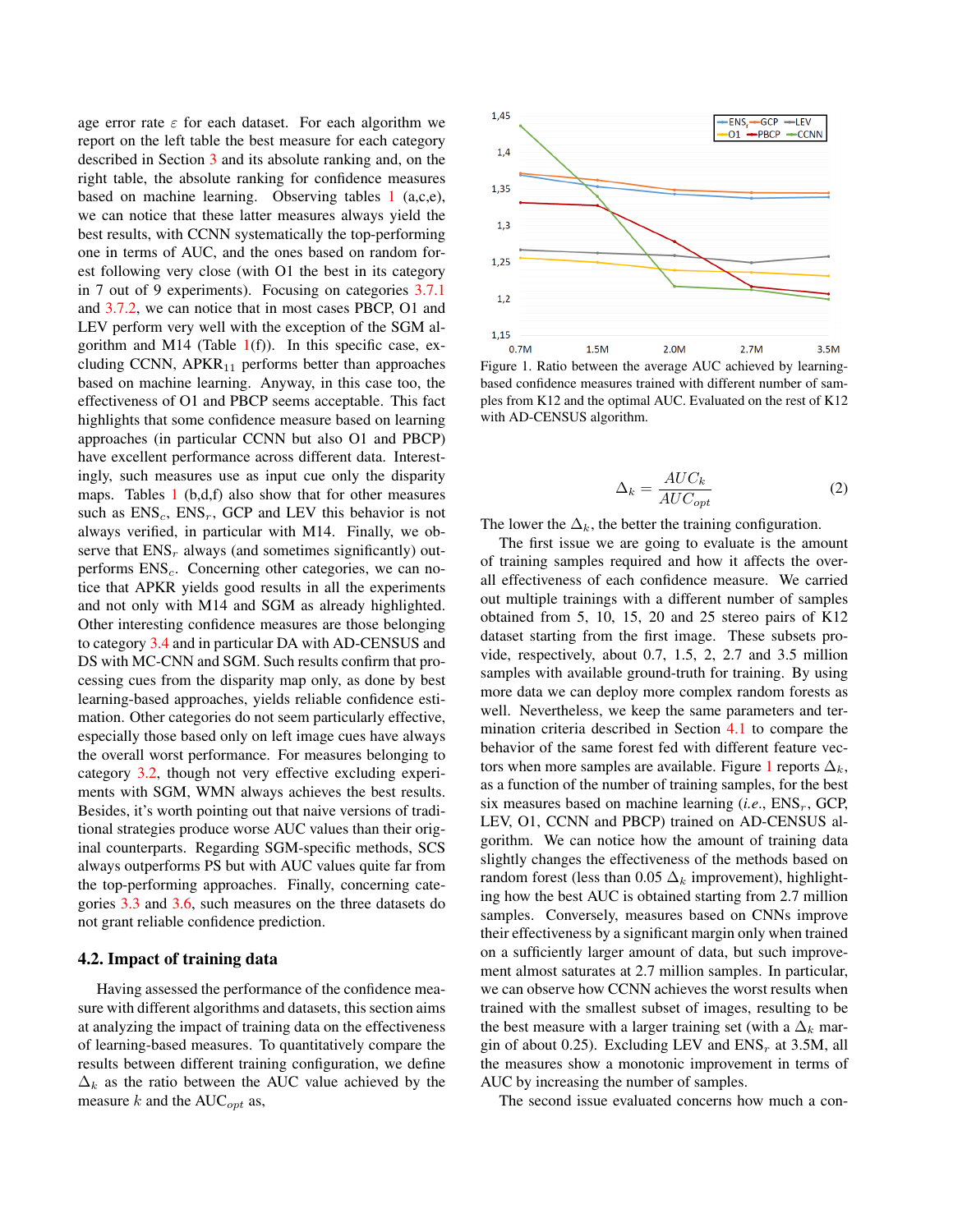age error rate  $\varepsilon$  for each dataset. For each algorithm we report on the left table the best measure for each category described in Section [3](#page-1-1) and its absolute ranking and, on the right table, the absolute ranking for confidence measures based on machine learning. Observing tables [1](#page-5-1) (a,c,e), we can notice that these latter measures always yield the best results, with CCNN systematically the top-performing one in terms of AUC, and the ones based on random forest following very close (with O1 the best in its category in 7 out of 9 experiments). Focusing on categories [3.7.1](#page-3-2) and [3.7.2,](#page-3-3) we can notice that in most cases PBCP, O1 and LEV perform very well with the exception of the SGM algorithm and M14 (Table  $1(f)$  $1(f)$ ). In this specific case, excluding CCNN,  $APKR_{11}$  performs better than approaches based on machine learning. Anyway, in this case too, the effectiveness of O1 and PBCP seems acceptable. This fact highlights that some confidence measure based on learning approaches (in particular CCNN but also O1 and PBCP) have excellent performance across different data. Interestingly, such measures use as input cue only the disparity maps. Tables  $1$  (b,d,f) also show that for other measures such as  $ENS_c$ ,  $ENS_r$ , GCP and LEV this behavior is not always verified, in particular with M14. Finally, we observe that  $ENS_r$  always (and sometimes significantly) outperforms  $ENS<sub>c</sub>$ . Concerning other categories, we can notice that APKR yields good results in all the experiments and not only with M14 and SGM as already highlighted. Other interesting confidence measures are those belonging to category [3.4](#page-2-2) and in particular DA with AD-CENSUS and DS with MC-CNN and SGM. Such results confirm that processing cues from the disparity map only, as done by best learning-based approaches, yields reliable confidence estimation. Other categories do not seem particularly effective, especially those based only on left image cues have always the overall worst performance. For measures belonging to category [3.2,](#page-2-0) though not very effective excluding experiments with SGM, WMN always achieves the best results. Besides, it's worth pointing out that naive versions of traditional strategies produce worse AUC values than their original counterparts. Regarding SGM-specific methods, SCS always outperforms PS but with AUC values quite far from the top-performing approaches. Finally, concerning categories [3.3](#page-2-1) and [3.6,](#page-3-1) such measures on the three datasets do not grant reliable confidence prediction.

#### <span id="page-6-0"></span>4.2. Impact of training data

Having assessed the performance of the confidence measure with different algorithms and datasets, this section aims at analyzing the impact of training data on the effectiveness of learning-based measures. To quantitatively compare the results between different training configuration, we define  $\Delta_k$  as the ratio between the AUC value achieved by the measure k and the  $AUC_{opt}$  as,



<span id="page-6-1"></span>Figure 1. Ratio between the average AUC achieved by learningbased confidence measures trained with different number of samples from K12 and the optimal AUC. Evaluated on the rest of K12 with AD-CENSUS algorithm.

<span id="page-6-2"></span>
$$
\Delta_k = \frac{AUC_k}{AUC_{opt}}\tag{2}
$$

The lower the  $\Delta_k$ , the better the training configuration.

The first issue we are going to evaluate is the amount of training samples required and how it affects the overall effectiveness of each confidence measure. We carried out multiple trainings with a different number of samples obtained from 5, 10, 15, 20 and 25 stereo pairs of K12 dataset starting from the first image. These subsets provide, respectively, about 0.7, 1.5, 2, 2.7 and 3.5 million samples with available ground-truth for training. By using more data we can deploy more complex random forests as well. Nevertheless, we keep the same parameters and termination criteria described in Section [4.1](#page-4-1) to compare the behavior of the same forest fed with different feature vec-tors when more samples are available. Figure [1](#page-6-1) reports  $\Delta_k$ , as a function of the number of training samples, for the best six measures based on machine learning  $(i.e., ENS<sub>r</sub>, GCP,$ LEV, O1, CCNN and PBCP) trained on AD-CENSUS algorithm. We can notice how the amount of training data slightly changes the effectiveness of the methods based on random forest (less than 0.05  $\Delta_k$  improvement), highlighting how the best AUC is obtained starting from 2.7 million samples. Conversely, measures based on CNNs improve their effectiveness by a significant margin only when trained on a sufficiently larger amount of data, but such improvement almost saturates at 2.7 million samples. In particular, we can observe how CCNN achieves the worst results when trained with the smallest subset of images, resulting to be the best measure with a larger training set (with a  $\Delta_k$  margin of about 0.25). Excluding LEV and  $ENS_r$  at 3.5M, all the measures show a monotonic improvement in terms of AUC by increasing the number of samples.

The second issue evaluated concerns how much a con-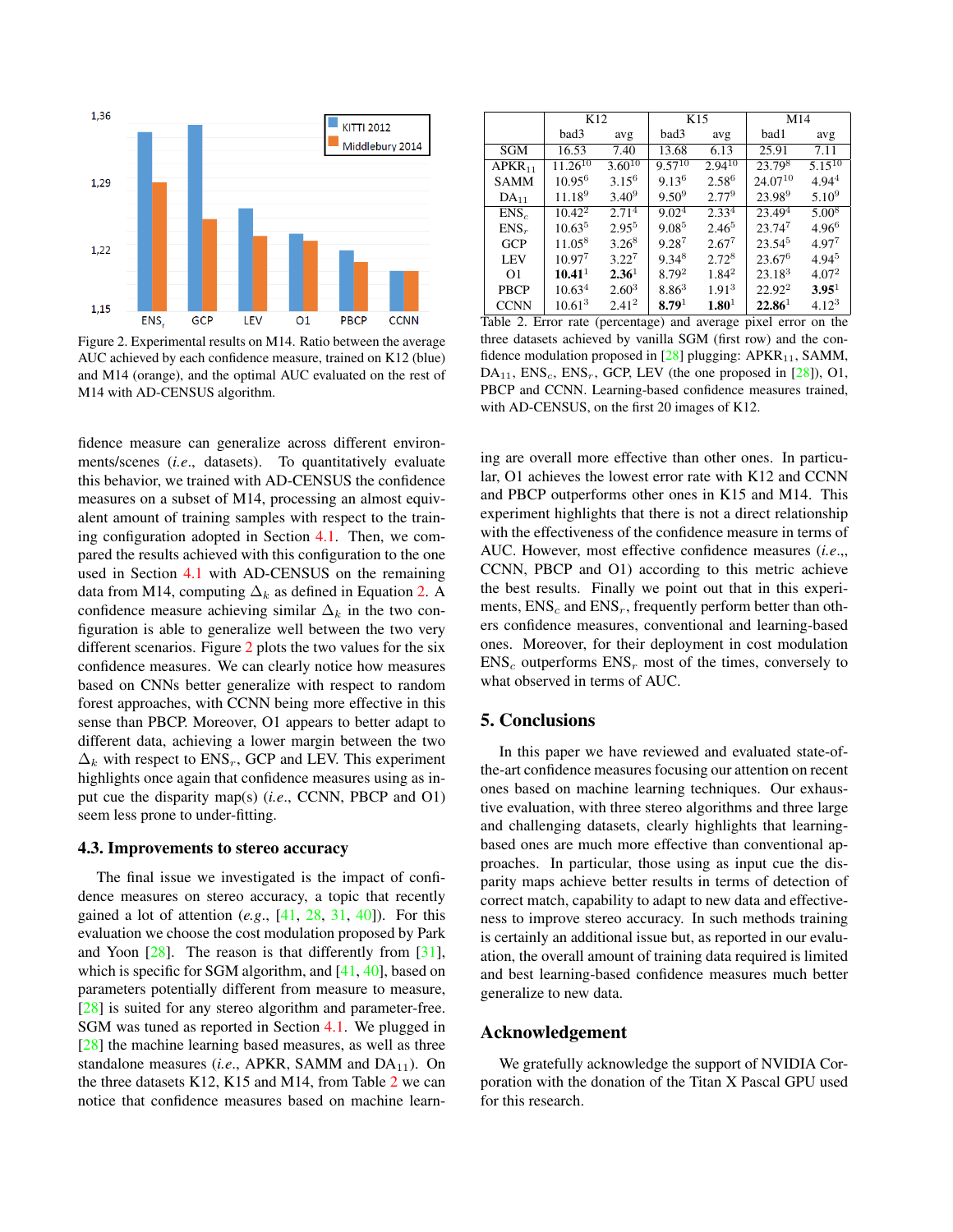<span id="page-7-3"></span>

<span id="page-7-1"></span>Figure 2. Experimental results on M14. Ratio between the average AUC achieved by each confidence measure, trained on K12 (blue) and M14 (orange), and the optimal AUC evaluated on the rest of M14 with AD-CENSUS algorithm.

fidence measure can generalize across different environments/scenes (*i.e*., datasets). To quantitatively evaluate this behavior, we trained with AD-CENSUS the confidence measures on a subset of M14, processing an almost equivalent amount of training samples with respect to the training configuration adopted in Section [4.1.](#page-4-1) Then, we compared the results achieved with this configuration to the one used in Section [4.1](#page-4-1) with AD-CENSUS on the remaining data from M14, computing  $\Delta_k$  as defined in Equation [2.](#page-6-2) A confidence measure achieving similar  $\Delta_k$  in the two configuration is able to generalize well between the two very different scenarios. Figure [2](#page-7-1) plots the two values for the six confidence measures. We can clearly notice how measures based on CNNs better generalize with respect to random forest approaches, with CCNN being more effective in this sense than PBCP. Moreover, O1 appears to better adapt to different data, achieving a lower margin between the two  $\Delta_k$  with respect to ENS<sub>r</sub>, GCP and LEV. This experiment highlights once again that confidence measures using as input cue the disparity map(s) (*i.e*., CCNN, PBCP and O1) seem less prone to under-fitting.

#### <span id="page-7-0"></span>4.3. Improvements to stereo accuracy

The final issue we investigated is the impact of confidence measures on stereo accuracy, a topic that recently gained a lot of attention (*e.g*., [\[41,](#page-9-3) [28,](#page-8-2) [31,](#page-8-3) [40\]](#page-9-2)). For this evaluation we choose the cost modulation proposed by Park and Yoon [\[28\]](#page-8-2). The reason is that differently from [\[31\]](#page-8-3), which is specific for SGM algorithm, and  $[41, 40]$  $[41, 40]$  $[41, 40]$ , based on parameters potentially different from measure to measure, [\[28\]](#page-8-2) is suited for any stereo algorithm and parameter-free. SGM was tuned as reported in Section [4.1.](#page-4-1) We plugged in [\[28\]](#page-8-2) the machine learning based measures, as well as three standalone measures (*i.e.*, APKR, SAMM and  $DA_{11}$ ). On the three datasets K12, K15 and M14, from Table [2](#page-7-2) we can notice that confidence measures based on machine learn-

|                    | K <sub>12</sub>    |                   |                   | K15               | M <sub>14</sub>    |                   |  |
|--------------------|--------------------|-------------------|-------------------|-------------------|--------------------|-------------------|--|
|                    | bad3               | avg               | bad3              | avg               | bad1               | avg               |  |
| SGM                | 16.53              | 7.40              | 13.68             | 6.13              | 25.91              | 7.11              |  |
| APKR <sub>11</sub> | $11.26^{10}$       | $3.60^{10}$       | $9.57^{10}$       | $2.94^{10}$       | $23.79^{8}$        | $5.15^{10}$       |  |
| <b>SAMM</b>        | $10.95^6$          | $3.15^{6}$        | $9.13^{6}$        | 2.58 <sup>6</sup> | $24.07^{10}$       | $4.94^{4}$        |  |
| $DA_{11}$          | 11.18 <sup>9</sup> | $3.40^{9}$        | $9.50^{9}$        | $2.77^{9}$        | 23.989             | $5.10^{9}$        |  |
| $ENS_c$            | $10.42^2$          | 2.71 <sup>4</sup> | 9.02 <sup>4</sup> | 2.33 <sup>4</sup> | 23.49 <sup>4</sup> | 5.008             |  |
| $ENS_r$            | 10.63 <sup>5</sup> | $2.95^{5}$        | $9.08^{5}$        | $2.46^{5}$        | $23.74^{7}$        | $4.96^{6}$        |  |
| <b>GCP</b>         | 11.05 <sup>8</sup> | $3.26^8$          | $9.28^{7}$        | $2.67^{7}$        | $23.54^{5}$        | 4.977             |  |
| <b>LEV</b>         | $10.97^{7}$        | $3.22^{7}$        | $9.34^8$          | $2.72^8$          | $23.67^6$          | 4.94 <sup>5</sup> |  |
| O <sub>1</sub>     | 10.41 <sup>1</sup> | 2.36 <sup>1</sup> | 8.79 <sup>2</sup> | $1.84^2$          | $23.18^{3}$        | 4.07 <sup>2</sup> |  |
| <b>PBCP</b>        | 10.63 <sup>4</sup> | $2.60^{3}$        | $8.86^{3}$        | 1.91 <sup>3</sup> | $22.92^2$          | 3.95 <sup>1</sup> |  |
| <b>CCNN</b>        | $10.61^{3}$        | 2.41 <sup>2</sup> | 8.79 <sup>1</sup> | $1.80^{1}$        | $22.86^1$          | $4.12^{3}$        |  |

<span id="page-7-2"></span>Table 2. Error rate (percentage) and average pixel error on the three datasets achieved by vanilla SGM (first row) and the confidence modulation proposed in  $[28]$  plugging: APKR<sub>11</sub>, SAMM,  $DA_{11}$ ,  $ENS_c$ ,  $ENS_r$ , GCP, LEV (the one proposed in [\[28\]](#page-8-2)), O1, PBCP and CCNN. Learning-based confidence measures trained, with AD-CENSUS, on the first 20 images of K12.

ing are overall more effective than other ones. In particular, O1 achieves the lowest error rate with K12 and CCNN and PBCP outperforms other ones in K15 and M14. This experiment highlights that there is not a direct relationship with the effectiveness of the confidence measure in terms of AUC. However, most effective confidence measures (*i.e*.,, CCNN, PBCP and O1) according to this metric achieve the best results. Finally we point out that in this experiments,  $ENS<sub>c</sub>$  and  $ENS<sub>r</sub>$ , frequently perform better than others confidence measures, conventional and learning-based ones. Moreover, for their deployment in cost modulation  $ENS<sub>c</sub>$  outperforms  $ENS<sub>r</sub>$  most of the times, conversely to what observed in terms of AUC.

## 5. Conclusions

In this paper we have reviewed and evaluated state-ofthe-art confidence measures focusing our attention on recent ones based on machine learning techniques. Our exhaustive evaluation, with three stereo algorithms and three large and challenging datasets, clearly highlights that learningbased ones are much more effective than conventional approaches. In particular, those using as input cue the disparity maps achieve better results in terms of detection of correct match, capability to adapt to new data and effectiveness to improve stereo accuracy. In such methods training is certainly an additional issue but, as reported in our evaluation, the overall amount of training data required is limited and best learning-based confidence measures much better generalize to new data.

## Acknowledgement

We gratefully acknowledge the support of NVIDIA Corporation with the donation of the Titan X Pascal GPU used for this research.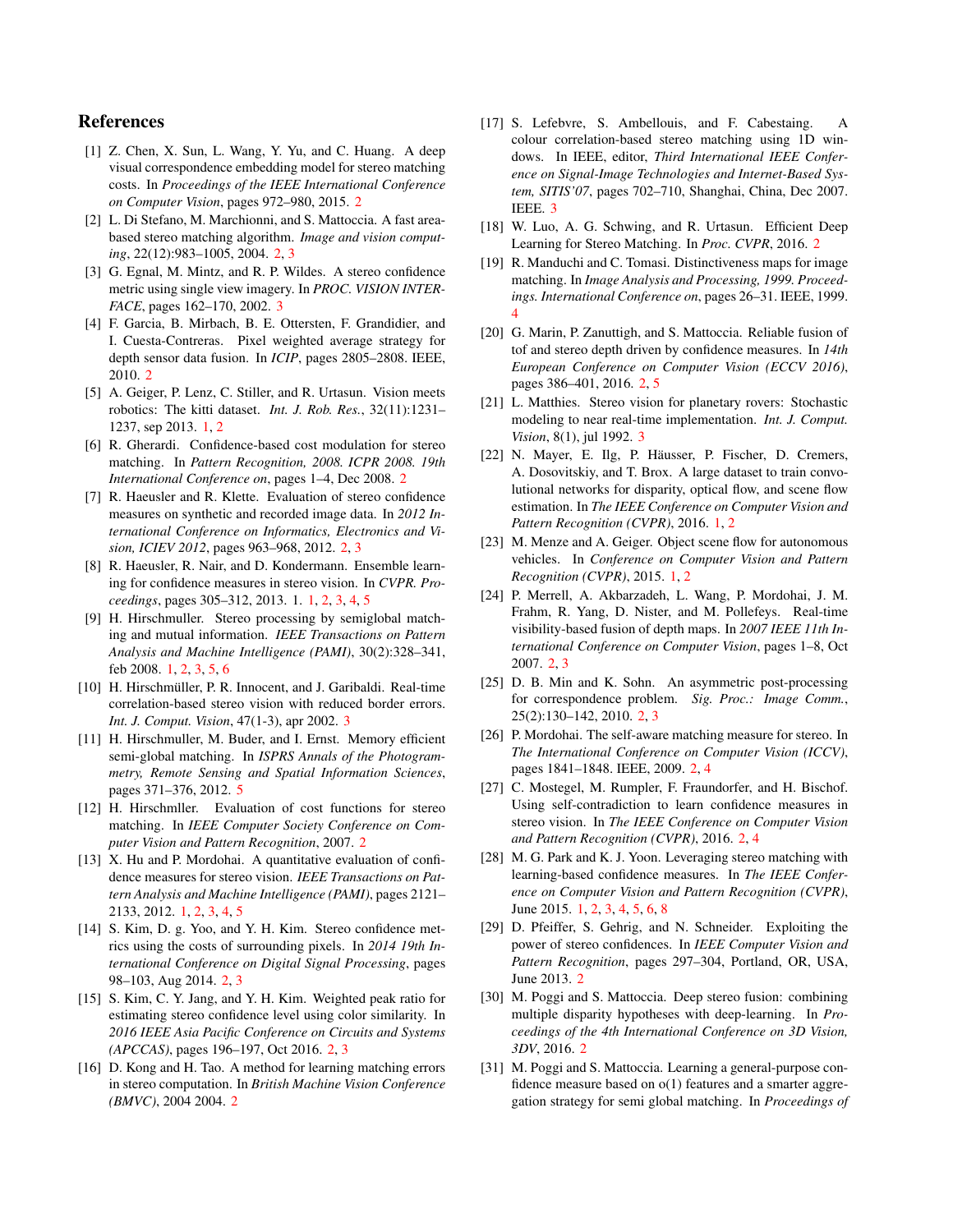# References

- <span id="page-8-22"></span>[1] Z. Chen, X. Sun, L. Wang, Y. Yu, and C. Huang. A deep visual correspondence embedding model for stereo matching costs. In *Proceedings of the IEEE International Conference on Computer Vision*, pages 972–980, 2015. [2](#page-1-2)
- <span id="page-8-12"></span>[2] L. Di Stefano, M. Marchionni, and S. Mattoccia. A fast areabased stereo matching algorithm. *Image and vision computing*, 22(12):983–1005, 2004. [2,](#page-1-2) [3](#page-2-3)
- <span id="page-8-28"></span>[3] G. Egnal, M. Mintz, and R. P. Wildes. A stereo confidence metric using single view imagery. In *PROC. VISION INTER-FACE*, pages 162–170, 2002. [3](#page-2-3)
- <span id="page-8-19"></span>[4] F. Garcia, B. Mirbach, B. E. Ottersten, F. Grandidier, and I. Cuesta-Contreras. Pixel weighted average strategy for depth sensor data fusion. In *ICIP*, pages 2805–2808. IEEE, 2010. [2](#page-1-2)
- <span id="page-8-0"></span>[5] A. Geiger, P. Lenz, C. Stiller, and R. Urtasun. Vision meets robotics: The kitti dataset. *Int. J. Rob. Res.*, 32(11):1231– 1237, sep 2013. [1,](#page-0-0) [2](#page-1-2)
- <span id="page-8-18"></span>[6] R. Gherardi. Confidence-based cost modulation for stereo matching. In *Pattern Recognition, 2008. ICPR 2008. 19th International Conference on*, pages 1–4, Dec 2008. [2](#page-1-2)
- <span id="page-8-13"></span>[7] R. Haeusler and R. Klette. Evaluation of stereo confidence measures on synthetic and recorded image data. In *2012 International Conference on Informatics, Electronics and Vision, ICIEV 2012*, pages 963–968, 2012. [2,](#page-1-2) [3](#page-2-3)
- <span id="page-8-5"></span>[8] R. Haeusler, R. Nair, and D. Kondermann. Ensemble learning for confidence measures in stereo vision. In *CVPR. Proceedings*, pages 305–312, 2013. 1. [1,](#page-0-0) [2,](#page-1-2) [3,](#page-2-3) [4,](#page-3-4) [5](#page-4-3)
- <span id="page-8-7"></span>[9] H. Hirschmuller. Stereo processing by semiglobal matching and mutual information. *IEEE Transactions on Pattern Analysis and Machine Intelligence (PAMI)*, 30(2):328–341, feb 2008. [1,](#page-0-0) [2,](#page-1-2) [3,](#page-2-3) [5,](#page-4-3) [6](#page-5-2)
- <span id="page-8-25"></span>[10] H. Hirschmüller, P. R. Innocent, and J. Garibaldi. Real-time correlation-based stereo vision with reduced border errors. *Int. J. Comput. Vision*, 47(1-3), apr 2002. [3](#page-2-3)
- <span id="page-8-30"></span>[11] H. Hirschmuller, M. Buder, and I. Ernst. Memory efficient semi-global matching. In *ISPRS Annals of the Photogrammetry, Remote Sensing and Spatial Information Sciences*, pages 371–376, 2012. [5](#page-4-3)
- <span id="page-8-8"></span>[12] H. Hirschmller. Evaluation of cost functions for stereo matching. In *IEEE Computer Society Conference on Computer Vision and Pattern Recognition*, 2007. [2](#page-1-2)
- <span id="page-8-4"></span>[13] X. Hu and P. Mordohai. A quantitative evaluation of confidence measures for stereo vision. *IEEE Transactions on Pattern Analysis and Machine Intelligence (PAMI)*, pages 2121– 2133, 2012. [1,](#page-0-0) [2,](#page-1-2) [3,](#page-2-3) [4,](#page-3-4) [5](#page-4-3)
- <span id="page-8-9"></span>[14] S. Kim, D. g. Yoo, and Y. H. Kim. Stereo confidence metrics using the costs of surrounding pixels. In *2014 19th International Conference on Digital Signal Processing*, pages 98–103, Aug 2014. [2,](#page-1-2) [3](#page-2-3)
- <span id="page-8-10"></span>[15] S. Kim, C. Y. Jang, and Y. H. Kim. Weighted peak ratio for estimating stereo confidence level using color similarity. In *2016 IEEE Asia Pacific Conference on Circuits and Systems (APCCAS)*, pages 196–197, Oct 2016. [2,](#page-1-2) [3](#page-2-3)
- <span id="page-8-16"></span>[16] D. Kong and H. Tao. A method for learning matching errors in stereo computation. In *British Machine Vision Conference (BMVC)*, 2004 2004. [2](#page-1-2)
- <span id="page-8-27"></span>[17] S. Lefebvre, S. Ambellouis, and F. Cabestaing. A colour correlation-based stereo matching using 1D windows. In IEEE, editor, *Third International IEEE Conference on Signal-Image Technologies and Internet-Based System, SITIS'07*, pages 702–710, Shanghai, China, Dec 2007. IEEE. [3](#page-2-3)
- <span id="page-8-23"></span>[18] W. Luo, A. G. Schwing, and R. Urtasun. Efficient Deep Learning for Stereo Matching. In *Proc. CVPR*, 2016. [2](#page-1-2)
- <span id="page-8-29"></span>[19] R. Manduchi and C. Tomasi. Distinctiveness maps for image matching. In *Image Analysis and Processing, 1999. Proceedings. International Conference on*, pages 26–31. IEEE, 1999. [4](#page-3-4)
- <span id="page-8-20"></span>[20] G. Marin, P. Zanuttigh, and S. Mattoccia. Reliable fusion of tof and stereo depth driven by confidence measures. In *14th European Conference on Computer Vision (ECCV 2016)*, pages 386–401, 2016. [2,](#page-1-2) [5](#page-4-3)
- <span id="page-8-26"></span>[21] L. Matthies. Stereo vision for planetary rovers: Stochastic modeling to near real-time implementation. *Int. J. Comput. Vision*, 8(1), jul 1992. [3](#page-2-3)
- <span id="page-8-6"></span>[22] N. Mayer, E. Ilg, P. Häusser, P. Fischer, D. Cremers, A. Dosovitskiy, and T. Brox. A large dataset to train convolutional networks for disparity, optical flow, and scene flow estimation. In *The IEEE Conference on Computer Vision and Pattern Recognition (CVPR)*, 2016. [1,](#page-0-0) [2](#page-1-2)
- <span id="page-8-1"></span>[23] M. Menze and A. Geiger. Object scene flow for autonomous vehicles. In *Conference on Computer Vision and Pattern Recognition (CVPR)*, 2015. [1,](#page-0-0) [2](#page-1-2)
- <span id="page-8-21"></span>[24] P. Merrell, A. Akbarzadeh, L. Wang, P. Mordohai, J. M. Frahm, R. Yang, D. Nister, and M. Pollefeys. Real-time visibility-based fusion of depth maps. In *2007 IEEE 11th International Conference on Computer Vision*, pages 1–8, Oct 2007. [2,](#page-1-2) [3](#page-2-3)
- <span id="page-8-11"></span>[25] D. B. Min and K. Sohn. An asymmetric post-processing for correspondence problem. *Sig. Proc.: Image Comm.*, 25(2):130–142, 2010. [2,](#page-1-2) [3](#page-2-3)
- <span id="page-8-17"></span>[26] P. Mordohai. The self-aware matching measure for stereo. In *The International Conference on Computer Vision (ICCV)*, pages 1841–1848. IEEE, 2009. [2,](#page-1-2) [4](#page-3-4)
- <span id="page-8-14"></span>[27] C. Mostegel, M. Rumpler, F. Fraundorfer, and H. Bischof. Using self-contradiction to learn confidence measures in stereo vision. In *The IEEE Conference on Computer Vision and Pattern Recognition (CVPR)*, 2016. [2,](#page-1-2) [4](#page-3-4)
- <span id="page-8-2"></span>[28] M. G. Park and K. J. Yoon. Leveraging stereo matching with learning-based confidence measures. In *The IEEE Conference on Computer Vision and Pattern Recognition (CVPR)*, June 2015. [1,](#page-0-0) [2,](#page-1-2) [3,](#page-2-3) [4,](#page-3-4) [5,](#page-4-3) [6,](#page-5-2) [8](#page-7-3)
- <span id="page-8-15"></span>[29] D. Pfeiffer, S. Gehrig, and N. Schneider. Exploiting the power of stereo confidences. In *IEEE Computer Vision and Pattern Recognition*, pages 297–304, Portland, OR, USA, June 2013. [2](#page-1-2)
- <span id="page-8-24"></span>[30] M. Poggi and S. Mattoccia. Deep stereo fusion: combining multiple disparity hypotheses with deep-learning. In *Proceedings of the 4th International Conference on 3D Vision, 3DV*, 2016. [2](#page-1-2)
- <span id="page-8-3"></span>[31] M. Poggi and S. Mattoccia. Learning a general-purpose confidence measure based on o(1) features and a smarter aggregation strategy for semi global matching. In *Proceedings of*